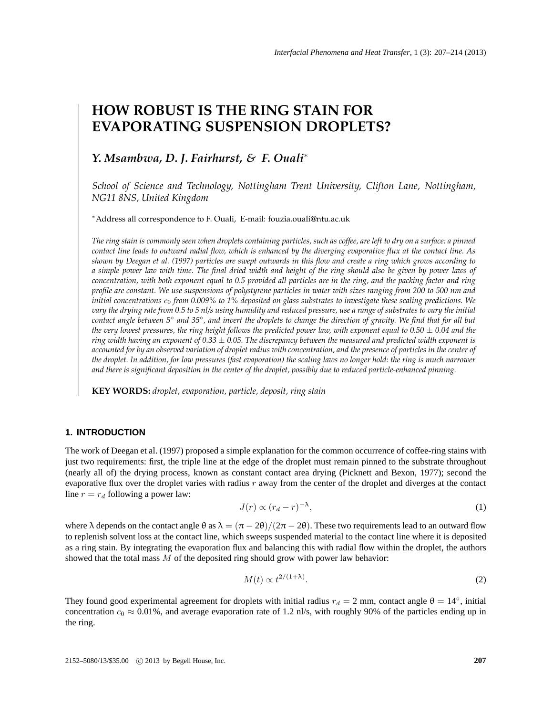# **HOW ROBUST IS THE RING STAIN FOR EVAPORATING SUSPENSION DROPLETS?**

# *Y. Msambwa, D. J. Fairhurst, & F. Ouali*<sup>∗</sup>

*School of Science and Technology, Nottingham Trent University, Clifton Lane, Nottingham, NG11 8NS, United Kingdom*

<sup>∗</sup>Address all correspondence to F. Ouali, E-mail: fouzia.ouali@ntu.ac.uk

*The ring stain is commonly seen when droplets containing particles, such as coffee, are left to dry on a surface: a pinned contact line leads to outward radial flow, which is enhanced by the diverging evaporative flux at the contact line. As shown by Deegan et al. (1997) particles are swept outwards in this flow and create a ring which grows according to a simple power law with time. The final dried width and height of the ring should also be given by power laws of concentration, with both exponent equal to 0.5 provided all particles are in the ring, and the packing factor and ring profile are constant. We use suspensions of polystyrene particles in water with sizes ranging from 200 to 500 nm and initial concentrations*  $c_0$  *from 0.009% to 1% deposited on glass substrates to investigate these scaling predictions. We vary the drying rate from 0.5 to 5 nl/s using humidity and reduced pressure, use a range of substrates to vary the initial contact angle between 5*◦ *and 35*◦ *, and invert the droplets to change the direction of gravity. We find that for all but the very lowest pressures, the ring height follows the predicted power law, with exponent equal to*  $0.50 \pm 0.04$  *and the ring width having an exponent of 0.33* ± *0.05. The discrepancy between the measured and predicted width exponent is accounted for by an observed variation of droplet radius with concentration, and the presence of particles in the center of the droplet. In addition, for low pressures (fast evaporation) the scaling laws no longer hold: the ring is much narrower and there is significant deposition in the center of the droplet, possibly due to reduced particle-enhanced pinning.*

**KEY WORDS:** *droplet, evaporation, particle, deposit, ring stain*

## **1. INTRODUCTION**

The work of Deegan et al. (1997) proposed a simple explanation for the common occurrence of coffee-ring stains with just two requirements: first, the triple line at the edge of the droplet must remain pinned to the substrate throughout (nearly all of) the drying process, known as constant contact area drying (Picknett and Bexon, 1977); second the evaporative flux over the droplet varies with radius  $r$  away from the center of the droplet and diverges at the contact line  $r = r_d$  following a power law:

$$
J(r) \propto (r_d - r)^{-\lambda},\tag{1}
$$

where  $\lambda$  depends on the contact angle  $\theta$  as  $\lambda = (\pi - 2\theta)/(2\pi - 2\theta)$ . These two requirements lead to an outward flow to replenish solvent loss at the contact line, which sweeps suspended material to the contact line where it is deposited as a ring stain. By integrating the evaporation flux and balancing this with radial flow within the droplet, the authors showed that the total mass M of the deposited ring should grow with power law behavior:

$$
M(t) \propto t^{2/(1+\lambda)}.\tag{2}
$$

They found good experimental agreement for droplets with initial radius  $r_d = 2$  mm, contact angle  $\theta = 14^\circ$ , initial concentration  $c_0 \approx 0.01\%$ , and average evaporation rate of 1.2 nl/s, with roughly 90% of the particles ending up in the ring.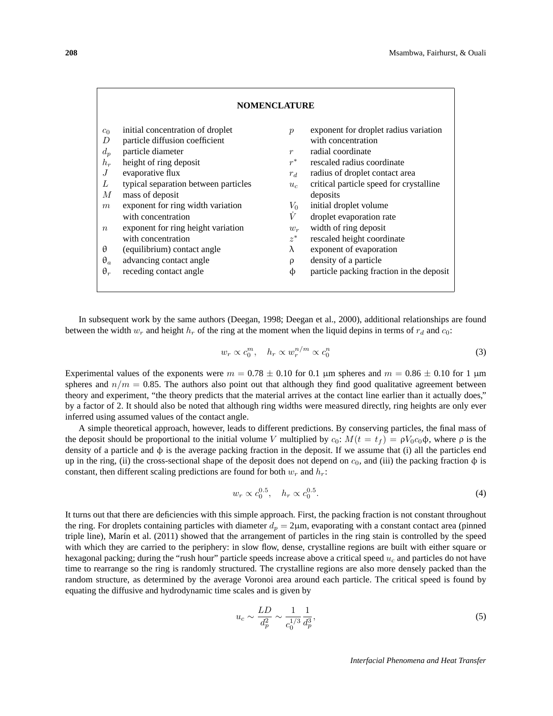| <b>NOMENCLATURE</b>                                                                                          |                                                                                                                                                                                                                                                                                                                                                                                                             |                                                                                                                  |                                                                                                                                                                                                                                                                                                                                                                                                                      |
|--------------------------------------------------------------------------------------------------------------|-------------------------------------------------------------------------------------------------------------------------------------------------------------------------------------------------------------------------------------------------------------------------------------------------------------------------------------------------------------------------------------------------------------|------------------------------------------------------------------------------------------------------------------|----------------------------------------------------------------------------------------------------------------------------------------------------------------------------------------------------------------------------------------------------------------------------------------------------------------------------------------------------------------------------------------------------------------------|
| $c_0$<br>D<br>$d_n$<br>$h_r$<br>J<br>L<br>М<br>m<br>$\boldsymbol{n}$<br>$\theta$<br>$\theta_a$<br>$\theta_r$ | initial concentration of droplet<br>particle diffusion coefficient<br>particle diameter<br>height of ring deposit<br>evaporative flux<br>typical separation between particles<br>mass of deposit<br>exponent for ring width variation<br>with concentration<br>exponent for ring height variation<br>with concentration<br>(equilibrium) contact angle<br>advancing contact angle<br>receding contact angle | $\boldsymbol{p}$<br>$\boldsymbol{r}$<br>$r^*$<br>$r_d$<br>$u_c$<br>$V_{0}$<br>V<br>$w_r$<br>$z^*$<br>λ<br>ρ<br>Ф | exponent for droplet radius variation<br>with concentration<br>radial coordinate<br>rescaled radius coordinate<br>radius of droplet contact area<br>critical particle speed for crystalline<br>deposits<br>initial droplet volume<br>droplet evaporation rate<br>width of ring deposit<br>rescaled height coordinate<br>exponent of evaporation<br>density of a particle<br>particle packing fraction in the deposit |

In subsequent work by the same authors (Deegan, 1998; Deegan et al., 2000), additional relationships are found between the width  $w_r$  and height  $h_r$  of the ring at the moment when the liquid depins in terms of  $r_d$  and  $c_0$ :

$$
w_r \propto c_0^m, \quad h_r \propto w_r^{n/m} \propto c_0^n \tag{3}
$$

Experimental values of the exponents were  $m = 0.78 \pm 0.10$  for 0.1 µm spheres and  $m = 0.86 \pm 0.10$  for 1 µm spheres and  $n/m = 0.85$ . The authors also point out that although they find good qualitative agreement between theory and experiment, "the theory predicts that the material arrives at the contact line earlier than it actually does," by a factor of 2. It should also be noted that although ring widths were measured directly, ring heights are only ever inferred using assumed values of the contact angle.

A simple theoretical approach, however, leads to different predictions. By conserving particles, the final mass of the deposit should be proportional to the initial volume V multiplied by  $c_0$ :  $M(t = t_f) = \rho V_0 c_0 \phi$ , where  $\rho$  is the density of a particle and  $\phi$  is the average packing fraction in the deposit. If we assume that (i) all the particles end up in the ring, (ii) the cross-sectional shape of the deposit does not depend on  $c_0$ , and (iii) the packing fraction  $\phi$  is constant, then different scaling predictions are found for both  $w_r$  and  $h_r$ :

$$
w_r \propto c_0^{0.5}, \quad h_r \propto c_0^{0.5}.
$$
 (4)

It turns out that there are deficiencies with this simple approach. First, the packing fraction is not constant throughout the ring. For droplets containing particles with diameter  $d_p = 2\mu$ m, evaporating with a constant contact area (pinned triple line), Marín et al. (2011) showed that the arrangement of particles in the ring stain is controlled by the speed with which they are carried to the periphery: in slow flow, dense, crystalline regions are built with either square or hexagonal packing; during the "rush hour" particle speeds increase above a critical speed  $u_c$  and particles do not have time to rearrange so the ring is randomly structured. The crystalline regions are also more densely packed than the random structure, as determined by the average Voronoi area around each particle. The critical speed is found by equating the diffusive and hydrodynamic time scales and is given by

$$
u_c \sim \frac{LD}{d_p^2} \sim \frac{1}{c_0^{1/3}} \frac{1}{d_p^3},\tag{5}
$$

*Interfacial Phenomena and Heat Transfer*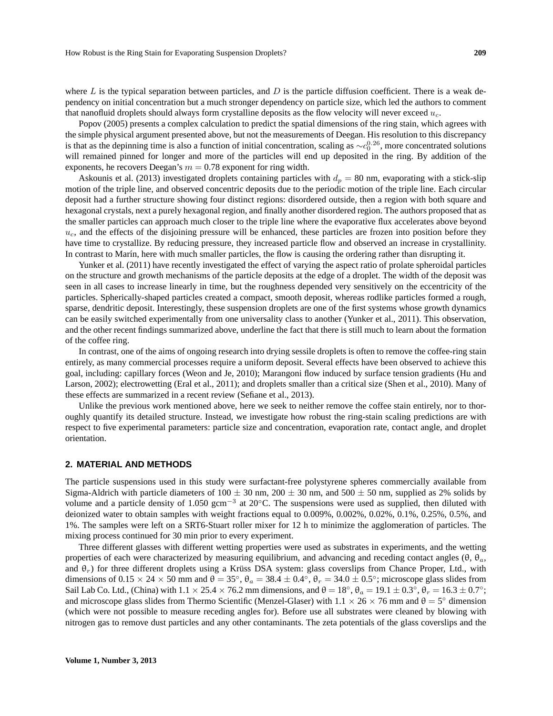where  $L$  is the typical separation between particles, and  $D$  is the particle diffusion coefficient. There is a weak dependency on initial concentration but a much stronger dependency on particle size, which led the authors to comment that nanofluid droplets should always form crystalline deposits as the flow velocity will never exceed  $u_c$ .

Popov (2005) presents a complex calculation to predict the spatial dimensions of the ring stain, which agrees with the simple physical argument presented above, but not the measurements of Deegan. His resolution to this discrepancy is that as the depinning time is also a function of initial concentration, scaling as  $\sim c_0^{0.26}$ , more concentrated solutions will remained pinned for longer and more of the particles will end up deposited in the ring. By addition of the exponents, he recovers Deegan's  $m = 0.78$  exponent for ring width.

Askounis et al. (2013) investigated droplets containing particles with  $d_p = 80$  nm, evaporating with a stick-slip motion of the triple line, and observed concentric deposits due to the periodic motion of the triple line. Each circular deposit had a further structure showing four distinct regions: disordered outside, then a region with both square and hexagonal crystals, next a purely hexagonal region, and finally another disordered region. The authors proposed that as the smaller particles can approach much closer to the triple line where the evaporative flux accelerates above beyond  $u_c$ , and the effects of the disjoining pressure will be enhanced, these particles are frozen into position before they have time to crystallize. By reducing pressure, they increased particle flow and observed an increase in crystallinity. In contrast to Marín, here with much smaller particles, the flow is causing the ordering rather than disrupting it.

Yunker et al. (2011) have recently investigated the effect of varying the aspect ratio of prolate spheroidal particles on the structure and growth mechanisms of the particle deposits at the edge of a droplet. The width of the deposit was seen in all cases to increase linearly in time, but the roughness depended very sensitively on the eccentricity of the particles. Spherically-shaped particles created a compact, smooth deposit, whereas rodlike particles formed a rough, sparse, dendritic deposit. Interestingly, these suspension droplets are one of the first systems whose growth dynamics can be easily switched experimentally from one universality class to another (Yunker et al., 2011). This observation, and the other recent findings summarized above, underline the fact that there is still much to learn about the formation of the coffee ring.

In contrast, one of the aims of ongoing research into drying sessile droplets is often to remove the coffee-ring stain entirely, as many commercial processes require a uniform deposit. Several effects have been observed to achieve this goal, including: capillary forces (Weon and Je, 2010); Marangoni flow induced by surface tension gradients (Hu and Larson, 2002); electrowetting (Eral et al., 2011); and droplets smaller than a critical size (Shen et al., 2010). Many of these effects are summarized in a recent review (Sefiane et al., 2013).

Unlike the previous work mentioned above, here we seek to neither remove the coffee stain entirely, nor to thoroughly quantify its detailed structure. Instead, we investigate how robust the ring-stain scaling predictions are with respect to five experimental parameters: particle size and concentration, evaporation rate, contact angle, and droplet orientation.

### **2. MATERIAL AND METHODS**

The particle suspensions used in this study were surfactant-free polystyrene spheres commercially available from Sigma-Aldrich with particle diameters of  $100 \pm 30$  nm,  $200 \pm 30$  nm, and  $500 \pm 50$  nm, supplied as 2% solids by volume and a particle density of 1.050 gcm<sup>-3</sup> at 20℃. The suspensions were used as supplied, then diluted with deionized water to obtain samples with weight fractions equal to 0.009%, 0.002%, 0.02%, 0.1%, 0.25%, 0.5%, and 1%. The samples were left on a SRT6-Stuart roller mixer for 12 h to minimize the agglomeration of particles. The mixing process continued for 30 min prior to every experiment.

Three different glasses with different wetting properties were used as substrates in experiments, and the wetting properties of each were characterized by measuring equilibrium, and advancing and receding contact angles ( $\theta$ ,  $\theta_a$ , and  $\theta_r$ ) for three different droplets using a Krüss DSA system: glass coverslips from Chance Proper, Ltd., with dimensions of  $0.15 \times 24 \times 50$  mm and  $\theta = 35^\circ$ ,  $\theta_a = 38.4 \pm 0.4^\circ$ ,  $\theta_r = 34.0 \pm 0.5^\circ$ ; microscope glass slides from Sail Lab Co. Ltd., (China) with  $1.1 \times 25.4 \times 76.2$  mm dimensions, and  $\theta = 18^\circ$ ,  $\theta_a = 19.1 \pm 0.3^\circ$ ,  $\theta_r = 16.3 \pm 0.7^\circ$ ; and microscope glass slides from Thermo Scientific (Menzel-Glaser) with  $1.1 \times 26 \times 76$  mm and  $\theta = 5^{\circ}$  dimension (which were not possible to measure receding angles for). Before use all substrates were cleaned by blowing with nitrogen gas to remove dust particles and any other contaminants. The zeta potentials of the glass coverslips and the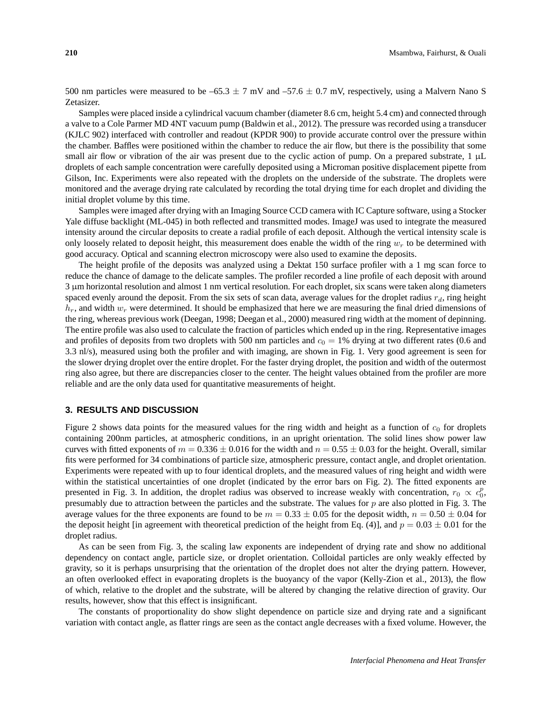500 nm particles were measured to be –65.3  $\pm$  7 mV and –57.6  $\pm$  0.7 mV, respectively, using a Malvern Nano S Zetasizer.

Samples were placed inside a cylindrical vacuum chamber (diameter 8.6 cm, height 5.4 cm) and connected through a valve to a Cole Parmer MD 4NT vacuum pump (Baldwin et al., 2012). The pressure was recorded using a transducer (KJLC 902) interfaced with controller and readout (KPDR 900) to provide accurate control over the pressure within the chamber. Baffles were positioned within the chamber to reduce the air flow, but there is the possibility that some small air flow or vibration of the air was present due to the cyclic action of pump. On a prepared substrate, 1 µL droplets of each sample concentration were carefully deposited using a Microman positive displacement pipette from Gilson, Inc. Experiments were also repeated with the droplets on the underside of the substrate. The droplets were monitored and the average drying rate calculated by recording the total drying time for each droplet and dividing the initial droplet volume by this time.

Samples were imaged after drying with an Imaging Source CCD camera with IC Capture software, using a Stocker Yale diffuse backlight (ML-045) in both reflected and transmitted modes. ImageJ was used to integrate the measured intensity around the circular deposits to create a radial profile of each deposit. Although the vertical intensity scale is only loosely related to deposit height, this measurement does enable the width of the ring  $w_r$  to be determined with good accuracy. Optical and scanning electron microscopy were also used to examine the deposits.

The height profile of the deposits was analyzed using a Dektat 150 surface profiler with a 1 mg scan force to reduce the chance of damage to the delicate samples. The profiler recorded a line profile of each deposit with around 3 µm horizontal resolution and almost 1 nm vertical resolution. For each droplet, six scans were taken along diameters spaced evenly around the deposit. From the six sets of scan data, average values for the droplet radius  $r_d$ , ring height  $h_r$ , and width  $w_r$  were determined. It should be emphasized that here we are measuring the final dried dimensions of the ring, whereas previous work (Deegan, 1998; Deegan et al., 2000) measured ring width at the moment of depinning. The entire profile was also used to calculate the fraction of particles which ended up in the ring. Representative images and profiles of deposits from two droplets with 500 nm particles and  $c_0 = 1\%$  drying at two different rates (0.6 and 3.3 nl/s), measured using both the profiler and with imaging, are shown in Fig. 1. Very good agreement is seen for the slower drying droplet over the entire droplet. For the faster drying droplet, the position and width of the outermost ring also agree, but there are discrepancies closer to the center. The height values obtained from the profiler are more reliable and are the only data used for quantitative measurements of height.

#### **3. RESULTS AND DISCUSSION**

Figure 2 shows data points for the measured values for the ring width and height as a function of  $c_0$  for droplets containing 200nm particles, at atmospheric conditions, in an upright orientation. The solid lines show power law curves with fitted exponents of  $m = 0.336 \pm 0.016$  for the width and  $n = 0.55 \pm 0.03$  for the height. Overall, similar fits were performed for 34 combinations of particle size, atmospheric pressure, contact angle, and droplet orientation. Experiments were repeated with up to four identical droplets, and the measured values of ring height and width were within the statistical uncertainties of one droplet (indicated by the error bars on Fig. 2). The fitted exponents are presented in Fig. 3. In addition, the droplet radius was observed to increase weakly with concentration,  $r_0 \propto c_0^p$ , presumably due to attraction between the particles and the substrate. The values for  $p$  are also plotted in Fig. 3. The average values for the three exponents are found to be  $m = 0.33 \pm 0.05$  for the deposit width,  $n = 0.50 \pm 0.04$  for the deposit height [in agreement with theoretical prediction of the height from Eq. (4)], and  $p = 0.03 \pm 0.01$  for the droplet radius.

As can be seen from Fig. 3, the scaling law exponents are independent of drying rate and show no additional dependency on contact angle, particle size, or droplet orientation. Colloidal particles are only weakly effected by gravity, so it is perhaps unsurprising that the orientation of the droplet does not alter the drying pattern. However, an often overlooked effect in evaporating droplets is the buoyancy of the vapor (Kelly-Zion et al., 2013), the flow of which, relative to the droplet and the substrate, will be altered by changing the relative direction of gravity. Our results, however, show that this effect is insignificant.

The constants of proportionality do show slight dependence on particle size and drying rate and a significant variation with contact angle, as flatter rings are seen as the contact angle decreases with a fixed volume. However, the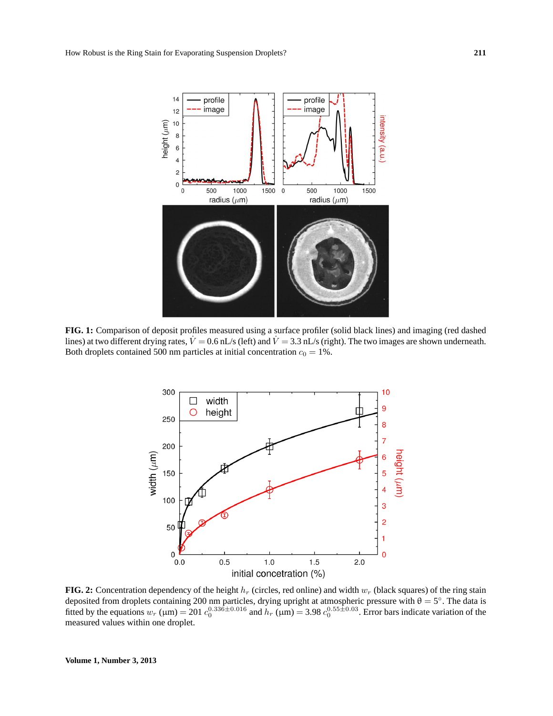

**FIG. 1:** Comparison of deposit profiles measured using a surface profiler (solid black lines) and imaging (red dashed lines) at two different drying rates,  $V = 0.6$  nL/s (left) and  $V = 3.3$  nL/s (right). The two images are shown underneath. Both droplets contained 500 nm particles at initial concentration  $c_0 = 1\%$ .



**FIG. 2:** Concentration dependency of the height  $h_r$  (circles, red online) and width  $w_r$  (black squares) of the ring stain deposited from droplets containing 200 nm particles, drying upright at atmospheric pressure with  $\theta = 5^\circ$ . The data is fitted by the equations  $w_r$  ( $\mu$ m) = 201  $c_0^{0.336 \pm 0.016}$  and  $h_r$  ( $\mu$ m) = 3.98  $c_0^{0.55 \pm 0.03}$ . Error bars indicate variation of the measured values within one droplet.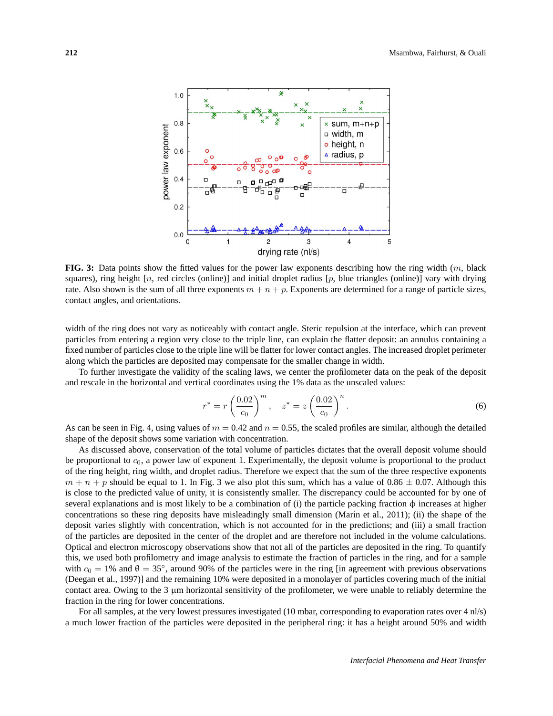

**FIG. 3:** Data points show the fitted values for the power law exponents describing how the ring width (m, black squares), ring height  $[n, \text{ red circles (online)}]$  and initial droplet radius  $[p, \text{ blue triangles (online)}]$  vary with drying rate. Also shown is the sum of all three exponents  $m + n + p$ . Exponents are determined for a range of particle sizes, contact angles, and orientations.

width of the ring does not vary as noticeably with contact angle. Steric repulsion at the interface, which can prevent particles from entering a region very close to the triple line, can explain the flatter deposit: an annulus containing a fixed number of particles close to the triple line will be flatter for lower contact angles. The increased droplet perimeter along which the particles are deposited may compensate for the smaller change in width.

To further investigate the validity of the scaling laws, we center the profilometer data on the peak of the deposit and rescale in the horizontal and vertical coordinates using the 1% data as the unscaled values:

$$
r^* = r \left(\frac{0.02}{c_0}\right)^m
$$
,  $z^* = z \left(\frac{0.02}{c_0}\right)^n$ . (6)

As can be seen in Fig. 4, using values of  $m = 0.42$  and  $n = 0.55$ , the scaled profiles are similar, although the detailed shape of the deposit shows some variation with concentration.

As discussed above, conservation of the total volume of particles dictates that the overall deposit volume should be proportional to  $c_0$ , a power law of exponent 1. Experimentally, the deposit volume is proportional to the product of the ring height, ring width, and droplet radius. Therefore we expect that the sum of the three respective exponents  $m + n + p$  should be equal to 1. In Fig. 3 we also plot this sum, which has a value of 0.86  $\pm$  0.07. Although this is close to the predicted value of unity, it is consistently smaller. The discrepancy could be accounted for by one of several explanations and is most likely to be a combination of (i) the particle packing fraction  $\phi$  increases at higher concentrations so these ring deposits have misleadingly small dimension (Marín et al., 2011); (ii) the shape of the deposit varies slightly with concentration, which is not accounted for in the predictions; and (iii) a small fraction of the particles are deposited in the center of the droplet and are therefore not included in the volume calculations. Optical and electron microscopy observations show that not all of the particles are deposited in the ring. To quantify this, we used both profilometry and image analysis to estimate the fraction of particles in the ring, and for a sample with  $c_0 = 1\%$  and  $\theta = 35^\circ$ , around 90% of the particles were in the ring [in agreement with previous observations (Deegan et al., 1997)] and the remaining 10% were deposited in a monolayer of particles covering much of the initial contact area. Owing to the 3 µm horizontal sensitivity of the profilometer, we were unable to reliably determine the fraction in the ring for lower concentrations.

For all samples, at the very lowest pressures investigated (10 mbar, corresponding to evaporation rates over 4 nl/s) a much lower fraction of the particles were deposited in the peripheral ring: it has a height around 50% and width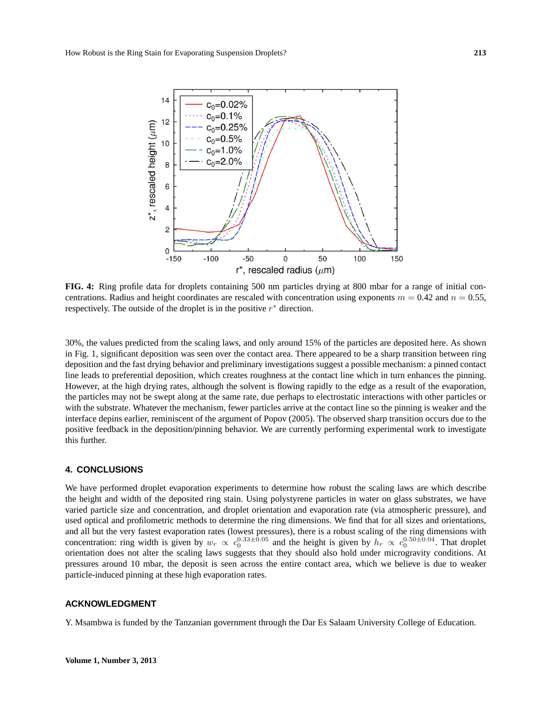

**FIG. 4:** Ring profile data for droplets containing 500 nm particles drying at 800 mbar for a range of initial concentrations. Radius and height coordinates are rescaled with concentration using exponents  $m = 0.42$  and  $n = 0.55$ , respectively. The outside of the droplet is in the positive  $r^*$  direction.

30%, the values predicted from the scaling laws, and only around 15% of the particles are deposited here. As shown in Fig. 1, significant deposition was seen over the contact area. There appeared to be a sharp transition between ring deposition and the fast drying behavior and preliminary investigations suggest a possible mechanism: a pinned contact line leads to preferential deposition, which creates roughness at the contact line which in turn enhances the pinning. However, at the high drying rates, although the solvent is flowing rapidly to the edge as a result of the evaporation, the particles may not be swept along at the same rate, due perhaps to electrostatic interactions with other particles or with the substrate. Whatever the mechanism, fewer particles arrive at the contact line so the pinning is weaker and the interface depins earlier, reminiscent of the argument of Popov (2005). The observed sharp transition occurs due to the positive feedback in the deposition/pinning behavior. We are currently performing experimental work to investigate this further.

#### **4. CONCLUSIONS**

We have performed droplet evaporation experiments to determine how robust the scaling laws are which describe the height and width of the deposited ring stain. Using polystyrene particles in water on glass substrates, we have varied particle size and concentration, and droplet orientation and evaporation rate (via atmospheric pressure), and used optical and profilometric methods to determine the ring dimensions. We find that for all sizes and orientations, and all but the very fastest evaporation rates (lowest pressures), there is a robust scaling of the ring dimensions with concentration: ring width is given by  $w_r \propto c_0^{0.33 \pm 0.05}$  and the height is given by  $h_r \propto c_0^{0.50 \pm 0.04}$ . That droplet orientation does not alter the scaling laws suggests that they should also hold under microgravity conditions. At pressures around 10 mbar, the deposit is seen across the entire contact area, which we believe is due to weaker particle-induced pinning at these high evaporation rates.

#### **ACKNOWLEDGMENT**

Y. Msambwa is funded by the Tanzanian government through the Dar Es Salaam University College of Education.